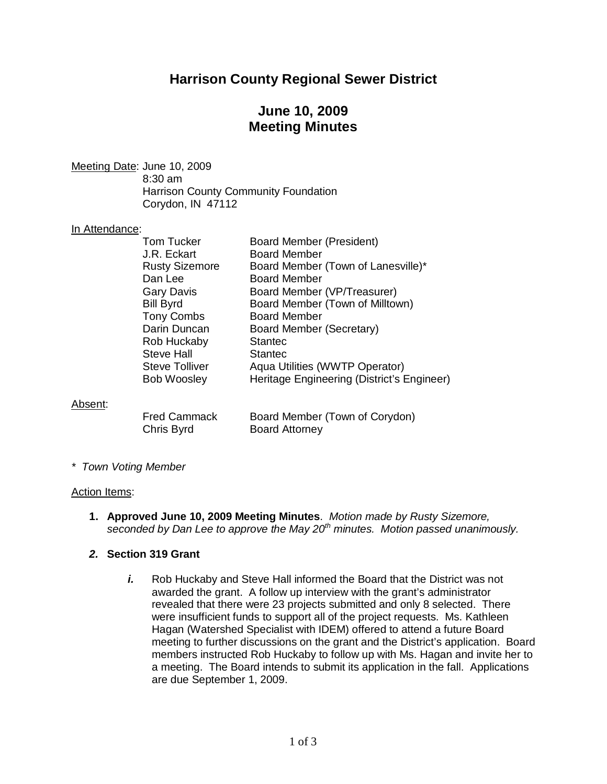# **Harrison County Regional Sewer District**

# **June 10, 2009 Meeting Minutes**

Meeting Date: June 10, 2009 8:30 am Harrison County Community Foundation Corydon, IN 47112

### In Attendance:

| <b>Tom Tucker</b>     | <b>Board Member (President)</b>            |
|-----------------------|--------------------------------------------|
| J.R. Eckart           | <b>Board Member</b>                        |
| <b>Rusty Sizemore</b> | Board Member (Town of Lanesville)*         |
| Dan Lee               | <b>Board Member</b>                        |
| <b>Gary Davis</b>     | Board Member (VP/Treasurer)                |
| <b>Bill Byrd</b>      | Board Member (Town of Milltown)            |
| <b>Tony Combs</b>     | <b>Board Member</b>                        |
| Darin Duncan          | Board Member (Secretary)                   |
| Rob Huckaby           | <b>Stantec</b>                             |
| <b>Steve Hall</b>     | <b>Stantec</b>                             |
| <b>Steve Tolliver</b> | Aqua Utilities (WWTP Operator)             |
| <b>Bob Woosley</b>    | Heritage Engineering (District's Engineer) |
|                       |                                            |
|                       |                                            |

### Absent:

| <b>Fred Cammack</b> |  |
|---------------------|--|
| Chris Byrd          |  |

Board Member (Town of Corydon) Board Attorney

*\* Town Voting Member*

### Action Items:

**1. Approved June 10, 2009 Meeting Minutes**. *Motion made by Rusty Sizemore, seconded by Dan Lee to approve the May 20th minutes. Motion passed unanimously.*

## *2.* **Section 319 Grant**

*i.* Rob Huckaby and Steve Hall informed the Board that the District was not awarded the grant. A follow up interview with the grant's administrator revealed that there were 23 projects submitted and only 8 selected. There were insufficient funds to support all of the project requests. Ms. Kathleen Hagan (Watershed Specialist with IDEM) offered to attend a future Board meeting to further discussions on the grant and the District's application. Board members instructed Rob Huckaby to follow up with Ms. Hagan and invite her to a meeting. The Board intends to submit its application in the fall. Applications are due September 1, 2009.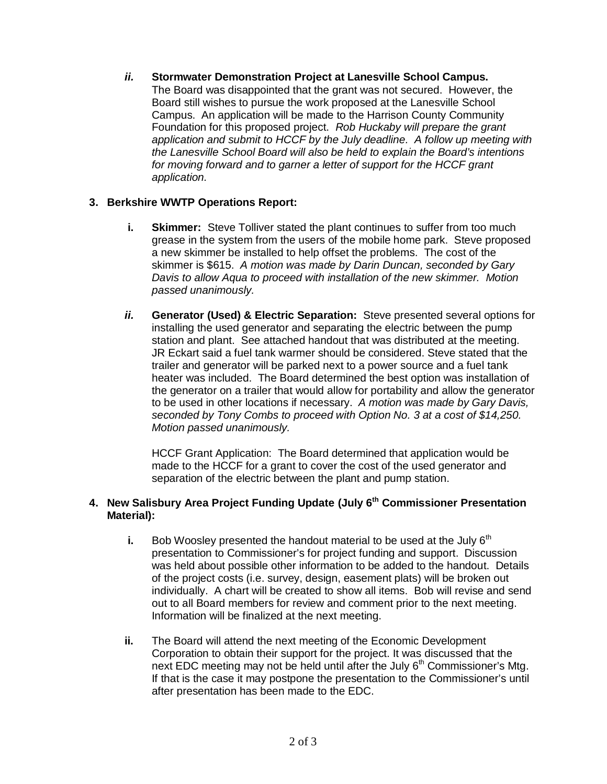*ii.* **Stormwater Demonstration Project at Lanesville School Campus.** The Board was disappointed that the grant was not secured. However, the Board still wishes to pursue the work proposed at the Lanesville School Campus. An application will be made to the Harrison County Community Foundation for this proposed project. *Rob Huckaby will prepare the grant application and submit to HCCF by the July deadline. A follow up meeting with the Lanesville School Board will also be held to explain the Board's intentions for moving forward and to garner a letter of support for the HCCF grant application.*

## **3. Berkshire WWTP Operations Report:**

- **i. Skimmer:** Steve Tolliver stated the plant continues to suffer from too much grease in the system from the users of the mobile home park. Steve proposed a new skimmer be installed to help offset the problems. The cost of the skimmer is \$615. *A motion was made by Darin Duncan, seconded by Gary Davis to allow Aqua to proceed with installation of the new skimmer. Motion passed unanimously.*
- *ii.* **Generator (Used) & Electric Separation:** Steve presented several options for installing the used generator and separating the electric between the pump station and plant. See attached handout that was distributed at the meeting. JR Eckart said a fuel tank warmer should be considered. Steve stated that the trailer and generator will be parked next to a power source and a fuel tank heater was included. The Board determined the best option was installation of the generator on a trailer that would allow for portability and allow the generator to be used in other locations if necessary. *A motion was made by Gary Davis, seconded by Tony Combs to proceed with Option No. 3 at a cost of \$14,250. Motion passed unanimously.*

HCCF Grant Application: The Board determined that application would be made to the HCCF for a grant to cover the cost of the used generator and separation of the electric between the plant and pump station.

## **4. New Salisbury Area Project Funding Update (July 6 th Commissioner Presentation Material):**

- **i.** Bob Woosley presented the handout material to be used at the July  $6<sup>th</sup>$ presentation to Commissioner's for project funding and support. Discussion was held about possible other information to be added to the handout. Details of the project costs (i.e. survey, design, easement plats) will be broken out individually. A chart will be created to show all items. Bob will revise and send out to all Board members for review and comment prior to the next meeting. Information will be finalized at the next meeting.
- **ii.** The Board will attend the next meeting of the Economic Development Corporation to obtain their support for the project. It was discussed that the next EDC meeting may not be held until after the July  $6<sup>th</sup>$  Commissioner's Mtg. If that is the case it may postpone the presentation to the Commissioner's until after presentation has been made to the EDC.